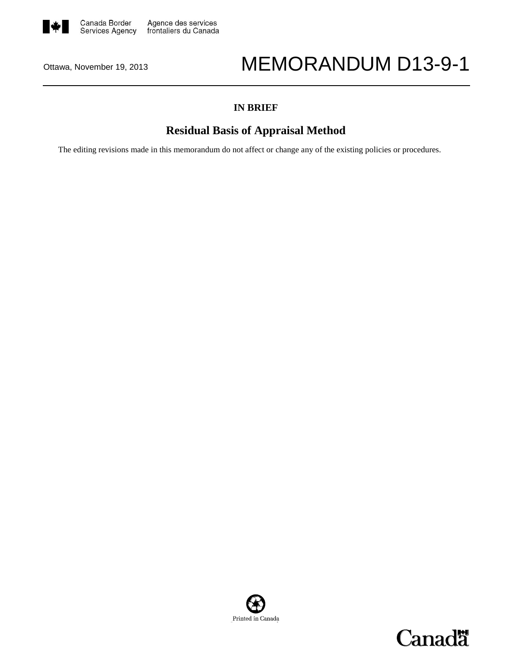

# Ottawa, November 19, 2013 MEMORANDUM D13-9-1

### **IN BRIEF**

## **Residual Basis of Appraisal Method**

The editing revisions made in this memorandum do not affect or change any of the existing policies or procedures.



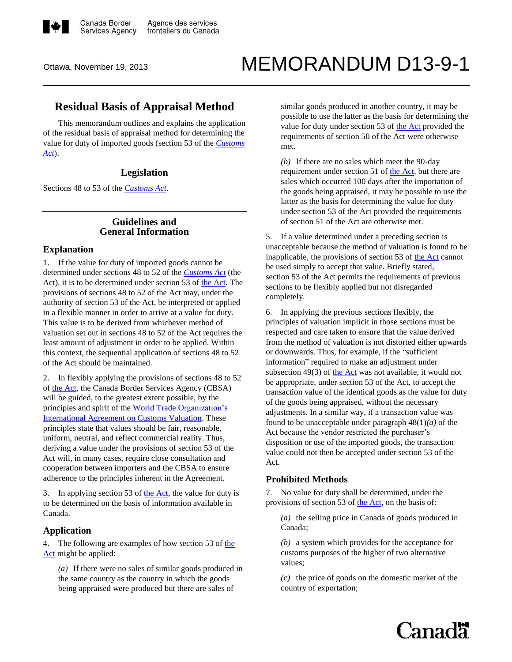

# Ottawa, November 19, 2013 MEMORANDUM D13-9-1

### **Residual Basis of Appraisal Method**

This memorandum outlines and explains the application of the residual basis of appraisal method for determining the value for duty of imported goods (section 53 of the *[Customs](http://laws-lois.justice.gc.ca/eng/acts/C-52.6/FullText.html)  [Act](http://laws-lois.justice.gc.ca/eng/acts/C-52.6/FullText.html)*).

#### **Legislation**

Sections 48 to 53 of the *[Customs Act](http://laws-lois.justice.gc.ca/eng/acts/C-52.6/FullText.html)*.

#### **Guidelines and General Information**

#### **Explanation**

1. If the value for duty of imported goods cannot be determined under sections 48 to 52 of the *[Customs Act](http://laws-lois.justice.gc.ca/eng/acts/C-52.6/FullText.html)* (the Act), it is to be determined under section 53 o[f the Act.](http://laws-lois.justice.gc.ca/eng/acts/C-52.6/FullText.html) The provisions of sections 48 to 52 of the Act may, under the authority of section 53 of the Act, be interpreted or applied in a flexible manner in order to arrive at a value for duty. This value is to be derived from whichever method of valuation set out in sections 48 to 52 of the Act requires the least amount of adjustment in order to be applied. Within this context, the sequential application of sections 48 to 52 of the Act should be maintained.

2. In flexibly applying the provisions of sections 48 to 52 of [the Act,](http://laws-lois.justice.gc.ca/eng/acts/C-52.6/FullText.html) the Canada Border Services Agency (CBSA) will be guided, to the greatest extent possible, by the principles and spirit of the World Trade [Organization's](http://www.wto.org/english/tratop_e/cusval_e/cusval_e.htm)  [International Agreement on Customs Valuation.](http://www.wto.org/english/tratop_e/cusval_e/cusval_e.htm) These principles state that values should be fair, reasonable, uniform, neutral, and reflect commercial reality. Thus, deriving a value under the provisions of section 53 of the Act will, in many cases, require close consultation and cooperation between importers and the CBSA to ensure adherence to the principles inherent in the Agreement.

3. In applying section 53 of [the Act,](http://laws-lois.justice.gc.ca/eng/acts/C-52.6/FullText.html) the value for duty is to be determined on the basis of information available in Canada.

#### **Application**

4. The following are examples of how section 53 o[f the](http://laws-lois.justice.gc.ca/eng/acts/C-52.6/FullText.html)  [Act](http://laws-lois.justice.gc.ca/eng/acts/C-52.6/FullText.html) might be applied:

*(a)* If there were no sales of similar goods produced in the same country as the country in which the goods being appraised were produced but there are sales of

similar goods produced in another country, it may be possible to use the latter as the basis for determining the value for duty under section 53 of [the Act](http://laws-lois.justice.gc.ca/eng/acts/C-52.6/FullText.html) provided the requirements of section 50 of the Act were otherwise met.

*(b)* If there are no sales which meet the 90-day requirement under section 51 of [the Act,](http://laws-lois.justice.gc.ca/eng/acts/C-52.6/FullText.html) but there are sales which occurred 100 days after the importation of the goods being appraised, it may be possible to use the latter as the basis for determining the value for duty under section 53 of the Act provided the requirements of section 51 of the Act are otherwise met.

5. If a value determined under a preceding section is unacceptable because the method of valuation is found to be inapplicable, the provisions of section 53 o[f the Act](http://laws-lois.justice.gc.ca/eng/acts/C-52.6/FullText.html) cannot be used simply to accept that value. Briefly stated, section 53 of the Act permits the requirements of previous sections to be flexibly applied but not disregarded completely.

6. In applying the previous sections flexibly, the principles of valuation implicit in those sections must be respected and care taken to ensure that the value derived from the method of valuation is not distorted either upwards or downwards. Thus, for example, if the "sufficient information" required to make an adjustment under subsection 49 $(3)$  o[f the Act](http://laws-lois.justice.gc.ca/eng/acts/C-52.6/FullText.html) was not available, it would not be appropriate, under section 53 of the Act, to accept the transaction value of the identical goods as the value for duty of the goods being appraised, without the necessary adjustments. In a similar way, if a transaction value was found to be unacceptable under paragraph 48(1)*(a)* of the Act because the vendor restricted the purchaser's disposition or use of the imported goods, the transaction value could not then be accepted under section 53 of the Act.

#### **Prohibited Methods**

7. No value for duty shall be determined, under the provisions of section 53 of [the Act,](http://laws-lois.justice.gc.ca/eng/acts/C-52.6/FullText.html) on the basis of:

*(a)* the selling price in Canada of goods produced in Canada;

*(b)* a system which provides for the acceptance for customs purposes of the higher of two alternative values;

*(c)* the price of goods on the domestic market of the country of exportation;

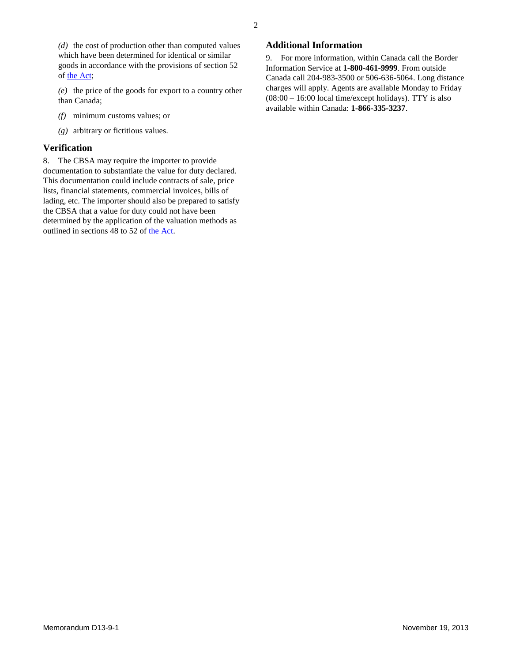*(d)* the cost of production other than computed values which have been determined for identical or similar goods in accordance with the provisions of section 52 of [the Act;](http://laws-lois.justice.gc.ca/eng/acts/C-52.6/FullText.html)

*(e)* the price of the goods for export to a country other than Canada;

- *(f)* minimum customs values; or
- *(g)* arbitrary or fictitious values.

#### **Verification**

8. The CBSA may require the importer to provide documentation to substantiate the value for duty declared. This documentation could include contracts of sale, price lists, financial statements, commercial invoices, bills of lading, etc. The importer should also be prepared to satisfy the CBSA that a value for duty could not have been determined by the application of the valuation methods as outlined in sections 48 to 52 of [the Act.](http://laws-lois.justice.gc.ca/eng/acts/C-52.6/FullText.html)

#### **Additional Information**

9. For more information, within Canada call the Border Information Service at **1-800-461-9999**. From outside Canada call 204-983-3500 or 506-636-5064. Long distance charges will apply. Agents are available Monday to Friday  $(08:00 - 16:00$  local time/except holidays). TTY is also available within Canada: **1-866-335-3237**.